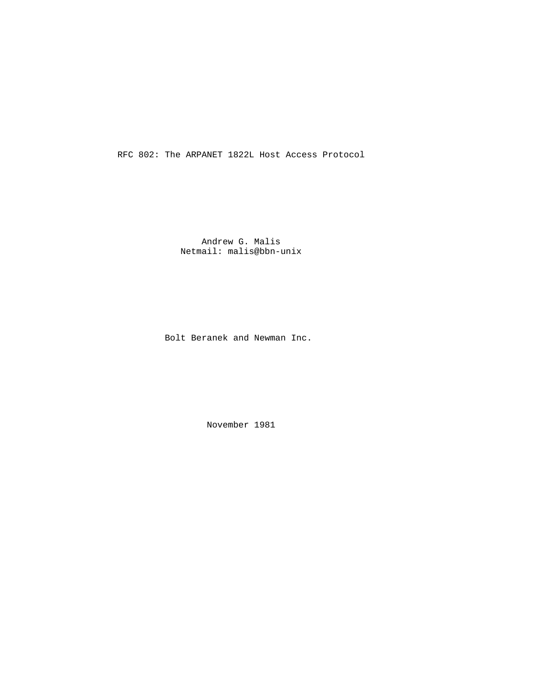RFC 802: The ARPANET 1822L Host Access Protocol

 Andrew G. Malis Netmail: malis@bbn-unix

Bolt Beranek and Newman Inc.

November 1981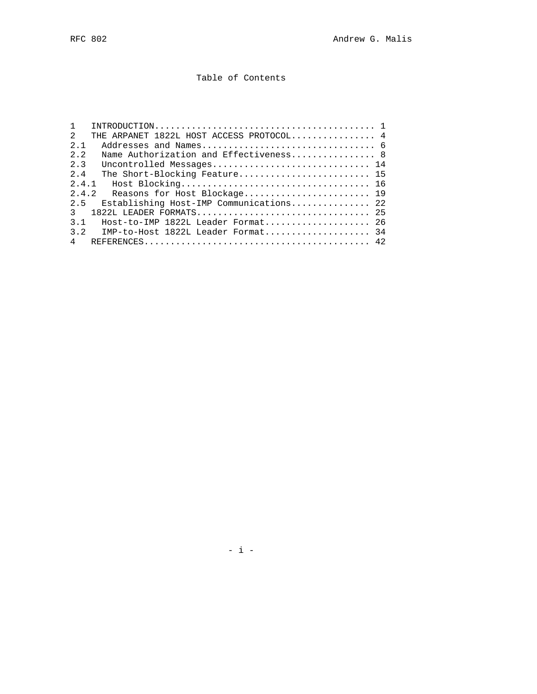Table of Contents

| $\mathbf{1}$                                        |
|-----------------------------------------------------|
| $2^{1}$<br>THE ARPANET 1822L HOST ACCESS PROTOCOL 4 |
| 2.1                                                 |
| 2.2<br>Name Authorization and Effectiveness 8       |
| 2.3<br>Uncontrolled Messages 14                     |
| 2.4<br>The Short-Blocking Feature 15                |
| 2.4.1                                               |
| 2.4.2<br>Reasons for Host Blockage 19               |
| Establishing Host-IMP Communications 22<br>2.5      |
| 1822L LEADER FORMATS 25<br>$\mathcal{E}$            |
| 3.1<br>Host-to-IMP 1822L Leader Format 26           |
| 3.2<br>IMP-to-Host 1822L Leader Format 34           |
| $\overline{4}$                                      |

- i -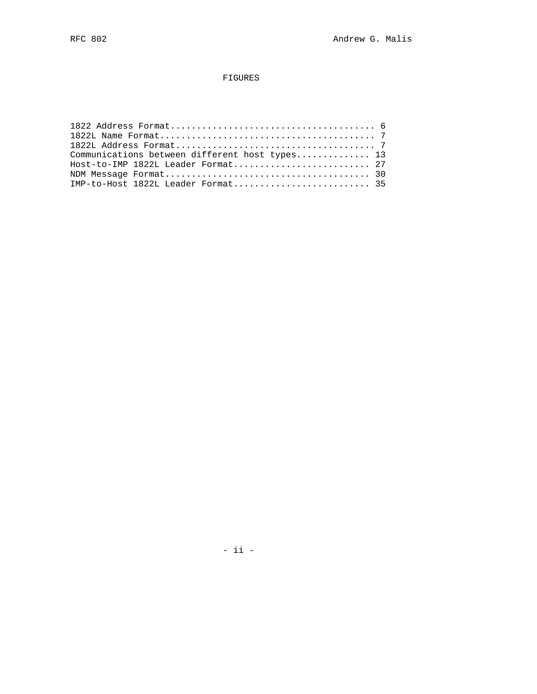# FIGURES

| Communications between different host types 13 |  |
|------------------------------------------------|--|
| Host-to-IMP 1822L Leader Format 27             |  |
|                                                |  |
|                                                |  |

- ii -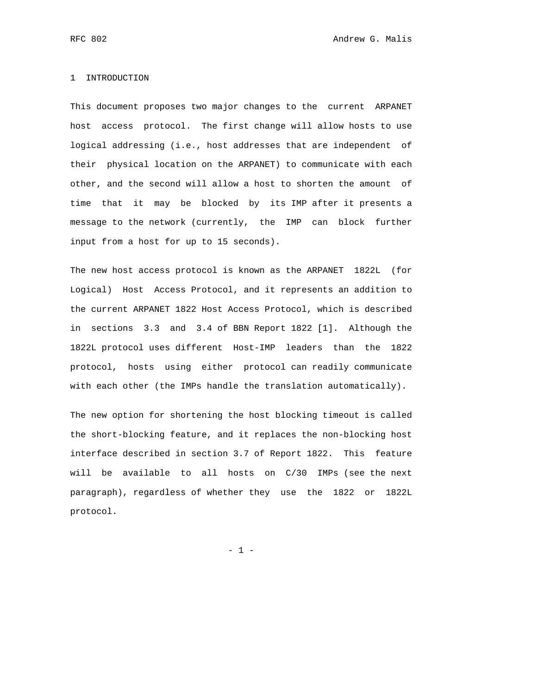#### 1 INTRODUCTION

This document proposes two major changes to the current ARPANET host access protocol. The first change will allow hosts to use logical addressing (i.e., host addresses that are independent of their physical location on the ARPANET) to communicate with each other, and the second will allow a host to shorten the amount of time that it may be blocked by its IMP after it presents a message to the network (currently, the IMP can block further input from a host for up to 15 seconds).

The new host access protocol is known as the ARPANET 1822L (for Logical) Host Access Protocol, and it represents an addition to the current ARPANET 1822 Host Access Protocol, which is described in sections 3.3 and 3.4 of BBN Report 1822 [1]. Although the 1822L protocol uses different Host-IMP leaders than the 1822 protocol, hosts using either protocol can readily communicate with each other (the IMPs handle the translation automatically).

The new option for shortening the host blocking timeout is called the short-blocking feature, and it replaces the non-blocking host interface described in section 3.7 of Report 1822. This feature will be available to all hosts on C/30 IMPs (see the next paragraph), regardless of whether they use the 1822 or 1822L protocol.

- 1 -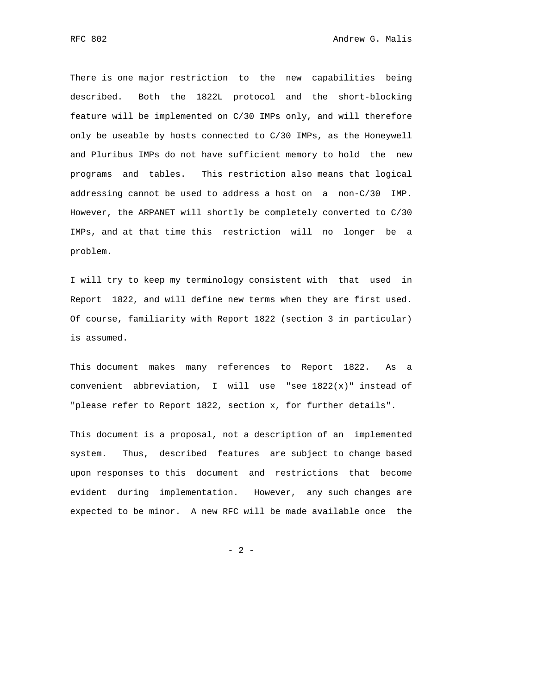There is one major restriction to the new capabilities being described. Both the 1822L protocol and the short-blocking feature will be implemented on C/30 IMPs only, and will therefore only be useable by hosts connected to C/30 IMPs, as the Honeywell and Pluribus IMPs do not have sufficient memory to hold the new programs and tables. This restriction also means that logical addressing cannot be used to address a host on a non-C/30 IMP. However, the ARPANET will shortly be completely converted to C/30 IMPs, and at that time this restriction will no longer be a problem.

I will try to keep my terminology consistent with that used in Report 1822, and will define new terms when they are first used. Of course, familiarity with Report 1822 (section 3 in particular) is assumed.

This document makes many references to Report 1822. As a convenient abbreviation, I will use "see  $1822(x)$ " instead of "please refer to Report 1822, section x, for further details".

This document is a proposal, not a description of an implemented system. Thus, described features are subject to change based upon responses to this document and restrictions that become evident during implementation. However, any such changes are expected to be minor. A new RFC will be made available once the

 $- 2 -$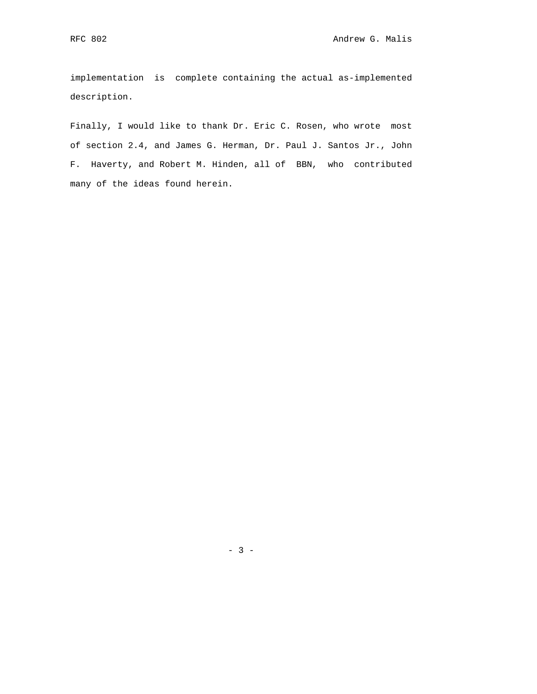implementation is complete containing the actual as-implemented description.

Finally, I would like to thank Dr. Eric C. Rosen, who wrote most of section 2.4, and James G. Herman, Dr. Paul J. Santos Jr., John F. Haverty, and Robert M. Hinden, all of BBN, who contributed many of the ideas found herein.

- 3 -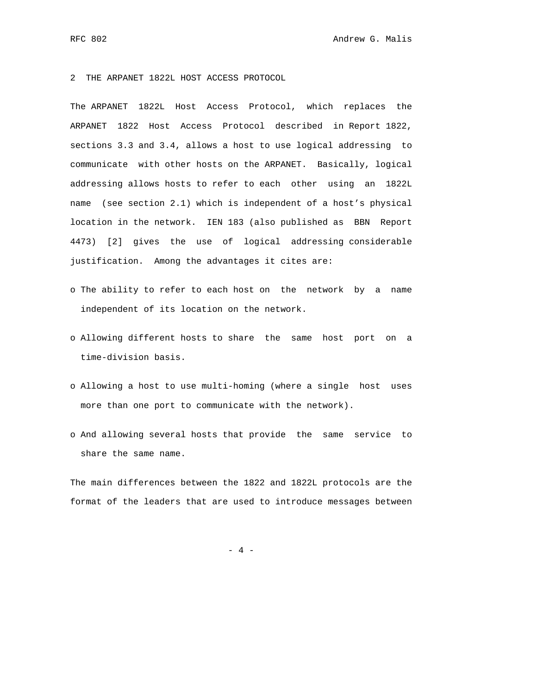2 THE ARPANET 1822L HOST ACCESS PROTOCOL

The ARPANET 1822L Host Access Protocol, which replaces the ARPANET 1822 Host Access Protocol described in Report 1822, sections 3.3 and 3.4, allows a host to use logical addressing to communicate with other hosts on the ARPANET. Basically, logical addressing allows hosts to refer to each other using an 1822L name (see section 2.1) which is independent of a host's physical location in the network. IEN 183 (also published as BBN Report 4473) [2] gives the use of logical addressing considerable justification. Among the advantages it cites are:

- o The ability to refer to each host on the network by a name independent of its location on the network.
- o Allowing different hosts to share the same host port on a time-division basis.
- o Allowing a host to use multi-homing (where a single host uses more than one port to communicate with the network).
- o And allowing several hosts that provide the same service to share the same name.

The main differences between the 1822 and 1822L protocols are the format of the leaders that are used to introduce messages between

- 4 -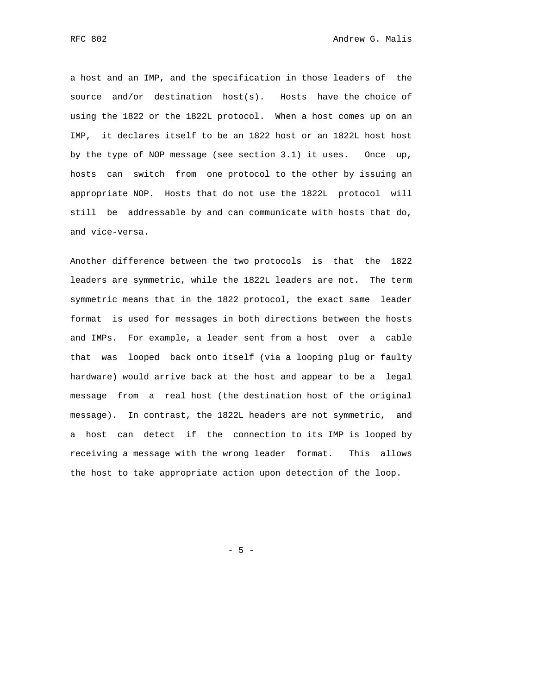a host and an IMP, and the specification in those leaders of the source and/or destination host(s). Hosts have the choice of using the 1822 or the 1822L protocol. When a host comes up on an IMP, it declares itself to be an 1822 host or an 1822L host host by the type of NOP message (see section 3.1) it uses. Once up, hosts can switch from one protocol to the other by issuing an appropriate NOP. Hosts that do not use the 1822L protocol will still be addressable by and can communicate with hosts that do, and vice-versa.

Another difference between the two protocols is that the 1822 leaders are symmetric, while the 1822L leaders are not. The term symmetric means that in the 1822 protocol, the exact same leader format is used for messages in both directions between the hosts and IMPs. For example, a leader sent from a host over a cable that was looped back onto itself (via a looping plug or faulty hardware) would arrive back at the host and appear to be a legal message from a real host (the destination host of the original message). In contrast, the 1822L headers are not symmetric, and a host can detect if the connection to its IMP is looped by receiving a message with the wrong leader format. This allows the host to take appropriate action upon detection of the loop.

 $- 5 -$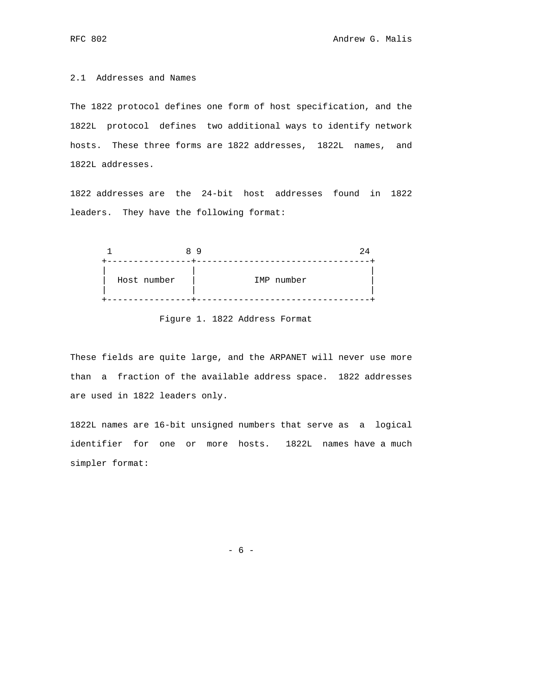## 2.1 Addresses and Names

The 1822 protocol defines one form of host specification, and the 1822L protocol defines two additional ways to identify network hosts. These three forms are 1822 addresses, 1822L names, and 1822L addresses.

1822 addresses are the 24-bit host addresses found in 1822 leaders. They have the following format:



Figure 1. 1822 Address Format

These fields are quite large, and the ARPANET will never use more than a fraction of the available address space. 1822 addresses are used in 1822 leaders only.

1822L names are 16-bit unsigned numbers that serve as a logical identifier for one or more hosts. 1822L names have a much simpler format:

- 6 -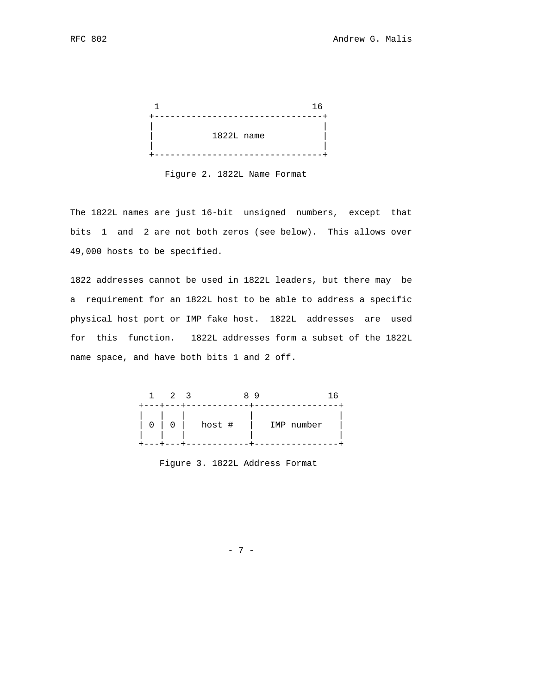

The 1822L names are just 16-bit unsigned numbers, except that bits 1 and 2 are not both zeros (see below). This allows over 49,000 hosts to be specified.

1822 addresses cannot be used in 1822L leaders, but there may be a requirement for an 1822L host to be able to address a specific physical host port or IMP fake host. 1822L addresses are used for this function. 1822L addresses form a subset of the 1822L name space, and have both bits 1 and 2 off.

| $\mathbf{1}$ | 2 3      |        | 89 |            |  |
|--------------|----------|--------|----|------------|--|
| $\mathsf 0$  | $0 \mid$ | host # |    | IMP number |  |

Figure 3. 1822L Address Format

- 7 -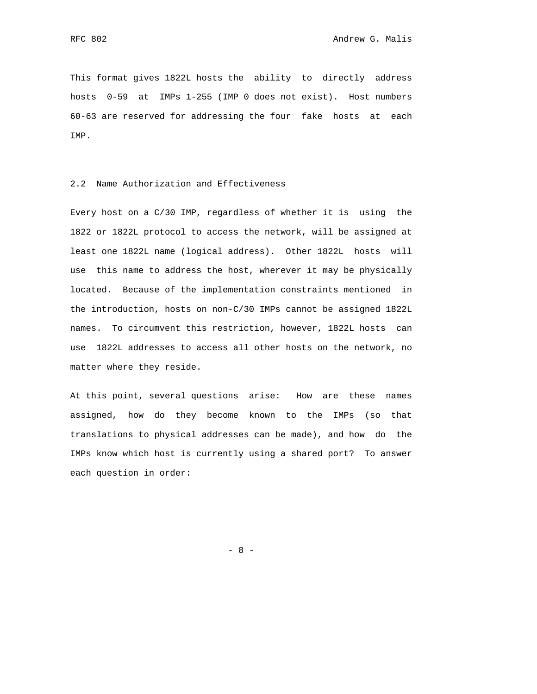This format gives 1822L hosts the ability to directly address hosts 0-59 at IMPs 1-255 (IMP 0 does not exist). Host numbers 60-63 are reserved for addressing the four fake hosts at each IMP.

## 2.2 Name Authorization and Effectiveness

Every host on a C/30 IMP, regardless of whether it is using the 1822 or 1822L protocol to access the network, will be assigned at least one 1822L name (logical address). Other 1822L hosts will use this name to address the host, wherever it may be physically located. Because of the implementation constraints mentioned in the introduction, hosts on non-C/30 IMPs cannot be assigned 1822L names. To circumvent this restriction, however, 1822L hosts can use 1822L addresses to access all other hosts on the network, no matter where they reside.

At this point, several questions arise: How are these names assigned, how do they become known to the IMPs (so that translations to physical addresses can be made), and how do the IMPs know which host is currently using a shared port? To answer each question in order:

- 8 -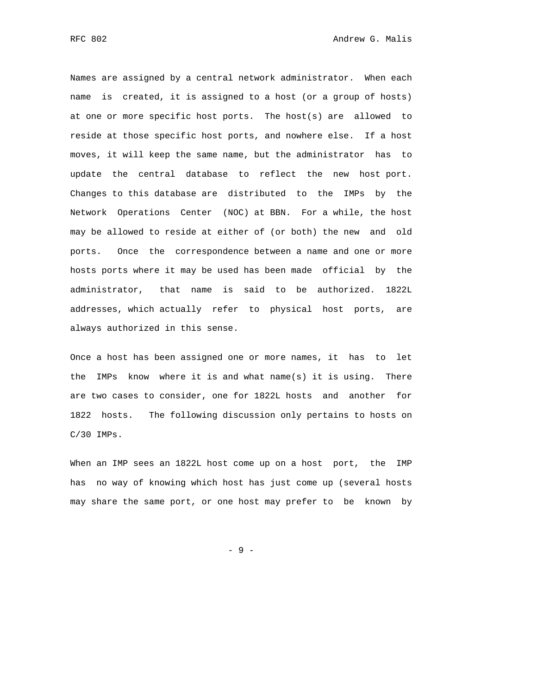Names are assigned by a central network administrator. When each name is created, it is assigned to a host (or a group of hosts) at one or more specific host ports. The host(s) are allowed to reside at those specific host ports, and nowhere else. If a host moves, it will keep the same name, but the administrator has to update the central database to reflect the new host port. Changes to this database are distributed to the IMPs by the Network Operations Center (NOC) at BBN. For a while, the host may be allowed to reside at either of (or both) the new and old ports. Once the correspondence between a name and one or more hosts ports where it may be used has been made official by the administrator, that name is said to be authorized. 1822L addresses, which actually refer to physical host ports, are always authorized in this sense.

Once a host has been assigned one or more names, it has to let the IMPs know where it is and what name(s) it is using. There are two cases to consider, one for 1822L hosts and another for 1822 hosts. The following discussion only pertains to hosts on C/30 IMPs.

When an IMP sees an 1822L host come up on a host port, the IMP has no way of knowing which host has just come up (several hosts may share the same port, or one host may prefer to be known by

- 9 -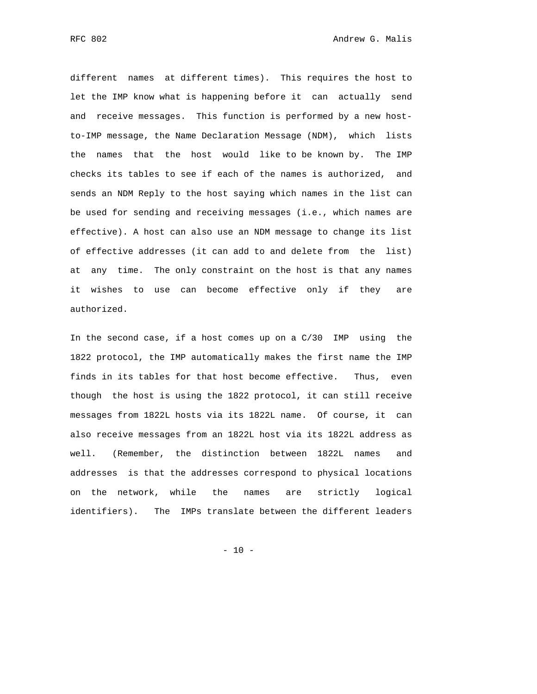different names at different times). This requires the host to let the IMP know what is happening before it can actually send and receive messages. This function is performed by a new hostto-IMP message, the Name Declaration Message (NDM), which lists the names that the host would like to be known by. The IMP checks its tables to see if each of the names is authorized, and sends an NDM Reply to the host saying which names in the list can be used for sending and receiving messages (i.e., which names are effective). A host can also use an NDM message to change its list of effective addresses (it can add to and delete from the list) at any time. The only constraint on the host is that any names it wishes to use can become effective only if they are authorized.

In the second case, if a host comes up on a C/30 IMP using the 1822 protocol, the IMP automatically makes the first name the IMP finds in its tables for that host become effective. Thus, even though the host is using the 1822 protocol, it can still receive messages from 1822L hosts via its 1822L name. Of course, it can also receive messages from an 1822L host via its 1822L address as well. (Remember, the distinction between 1822L names and addresses is that the addresses correspond to physical locations on the network, while the names are strictly logical identifiers). The IMPs translate between the different leaders

 $- 10 -$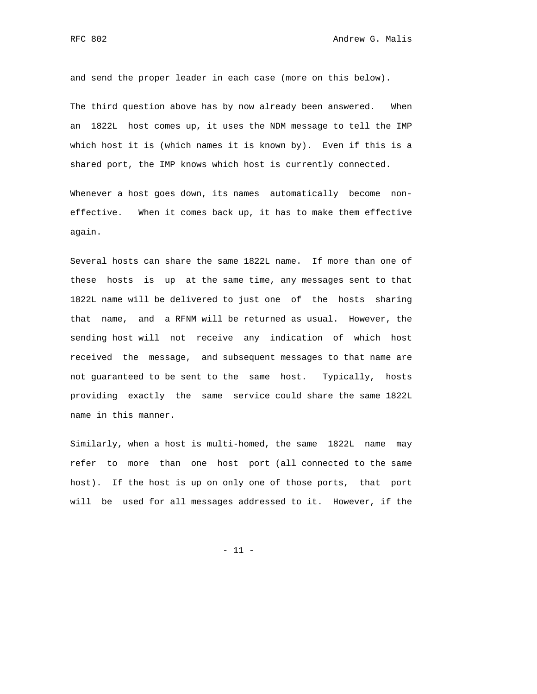and send the proper leader in each case (more on this below).

The third question above has by now already been answered. When an 1822L host comes up, it uses the NDM message to tell the IMP which host it is (which names it is known by). Even if this is a shared port, the IMP knows which host is currently connected.

Whenever a host goes down, its names automatically become noneffective. When it comes back up, it has to make them effective again.

Several hosts can share the same 1822L name. If more than one of these hosts is up at the same time, any messages sent to that 1822L name will be delivered to just one of the hosts sharing that name, and a RFNM will be returned as usual. However, the sending host will not receive any indication of which host received the message, and subsequent messages to that name are not guaranteed to be sent to the same host. Typically, hosts providing exactly the same service could share the same 1822L name in this manner.

Similarly, when a host is multi-homed, the same 1822L name may refer to more than one host port (all connected to the same host). If the host is up on only one of those ports, that port will be used for all messages addressed to it. However, if the

 $- 11 -$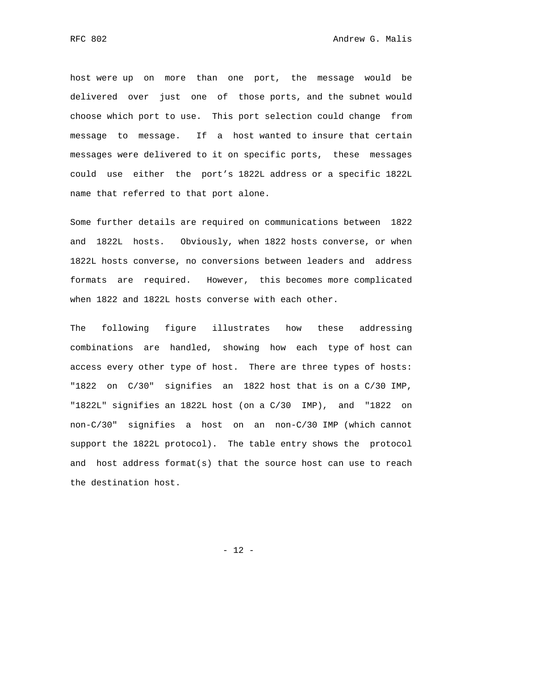host were up on more than one port, the message would be delivered over just one of those ports, and the subnet would choose which port to use. This port selection could change from message to message. If a host wanted to insure that certain messages were delivered to it on specific ports, these messages could use either the port's 1822L address or a specific 1822L name that referred to that port alone.

Some further details are required on communications between 1822 and 1822L hosts. Obviously, when 1822 hosts converse, or when 1822L hosts converse, no conversions between leaders and address formats are required. However, this becomes more complicated when 1822 and 1822L hosts converse with each other.

The following figure illustrates how these addressing combinations are handled, showing how each type of host can access every other type of host. There are three types of hosts: "1822 on C/30" signifies an 1822 host that is on a C/30 IMP, "1822L" signifies an 1822L host (on a C/30 IMP), and "1822 on non-C/30" signifies a host on an non-C/30 IMP (which cannot support the 1822L protocol). The table entry shows the protocol and host address format(s) that the source host can use to reach the destination host.

- 12 -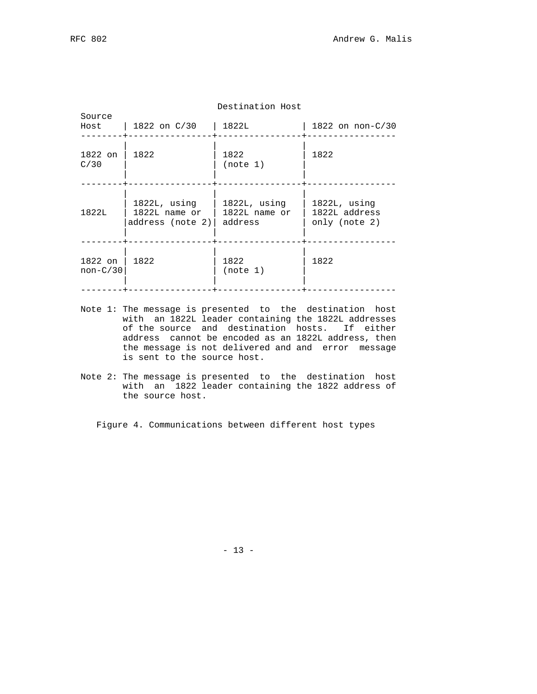|                       |                                                               | Destination Host                |                                                   |
|-----------------------|---------------------------------------------------------------|---------------------------------|---------------------------------------------------|
| Source<br>Host        | 1822 on C/30                                                  | 1822L                           | 1822 on $non-C/30$                                |
| 1822 on<br>C/30       | 1822                                                          | 1822<br>(note 1)                | 1822                                              |
| 1822L                 | 1822L, using<br>$1822L$ name or<br>address (note 2)   address | 1822L, using<br>$1822L$ name or | $1822L$ , using<br>1822L address<br>only (note 2) |
| 1822 on<br>$non-C/30$ | 1822                                                          | 1822<br>(note 1)                | 1822                                              |

- Note 1: The message is presented to the destination host with an 1822L leader containing the 1822L addresses of the source and destination hosts. If either address cannot be encoded as an 1822L address, then the message is not delivered and and error message is sent to the source host.
- Note 2: The message is presented to the destination host with an 1822 leader containing the 1822 address of the source host.

Figure 4. Communications between different host types

- 13 -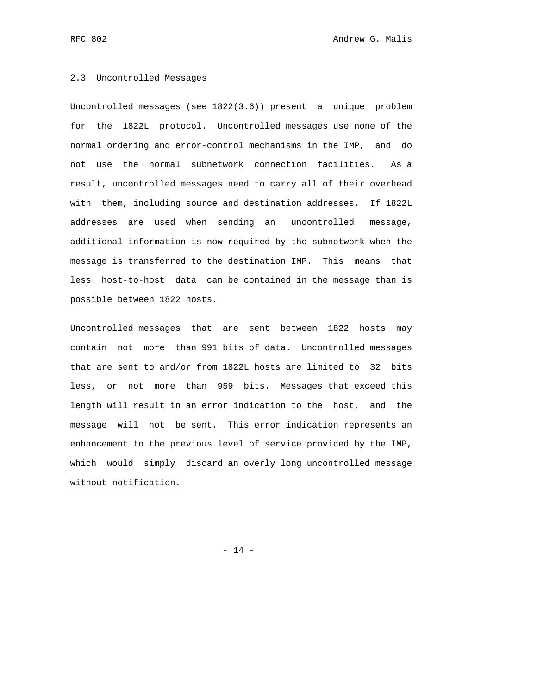### 2.3 Uncontrolled Messages

Uncontrolled messages (see 1822(3.6)) present a unique problem for the 1822L protocol. Uncontrolled messages use none of the normal ordering and error-control mechanisms in the IMP, and do not use the normal subnetwork connection facilities. As a result, uncontrolled messages need to carry all of their overhead with them, including source and destination addresses. If 1822L addresses are used when sending an uncontrolled message, additional information is now required by the subnetwork when the message is transferred to the destination IMP. This means that less host-to-host data can be contained in the message than is possible between 1822 hosts.

Uncontrolled messages that are sent between 1822 hosts may contain not more than 991 bits of data. Uncontrolled messages that are sent to and/or from 1822L hosts are limited to 32 bits less, or not more than 959 bits. Messages that exceed this length will result in an error indication to the host, and the message will not be sent. This error indication represents an enhancement to the previous level of service provided by the IMP, which would simply discard an overly long uncontrolled message without notification.

- 14 -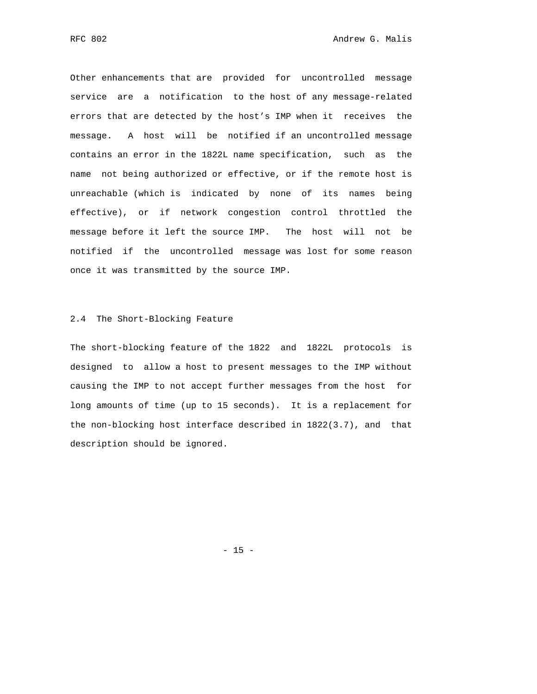Other enhancements that are provided for uncontrolled message service are a notification to the host of any message-related errors that are detected by the host's IMP when it receives the message. A host will be notified if an uncontrolled message contains an error in the 1822L name specification, such as the name not being authorized or effective, or if the remote host is unreachable (which is indicated by none of its names being effective), or if network congestion control throttled the message before it left the source IMP. The host will not be notified if the uncontrolled message was lost for some reason once it was transmitted by the source IMP.

### 2.4 The Short-Blocking Feature

The short-blocking feature of the 1822 and 1822L protocols is designed to allow a host to present messages to the IMP without causing the IMP to not accept further messages from the host for long amounts of time (up to 15 seconds). It is a replacement for the non-blocking host interface described in 1822(3.7), and that description should be ignored.

 $- 15 -$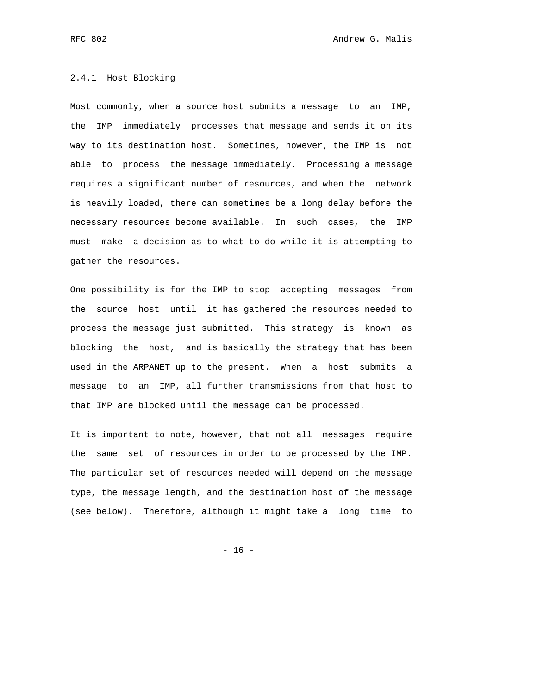### 2.4.1 Host Blocking

Most commonly, when a source host submits a message to an IMP, the IMP immediately processes that message and sends it on its way to its destination host. Sometimes, however, the IMP is not able to process the message immediately. Processing a message requires a significant number of resources, and when the network is heavily loaded, there can sometimes be a long delay before the necessary resources become available. In such cases, the IMP must make a decision as to what to do while it is attempting to gather the resources.

One possibility is for the IMP to stop accepting messages from the source host until it has gathered the resources needed to process the message just submitted. This strategy is known as blocking the host, and is basically the strategy that has been used in the ARPANET up to the present. When a host submits a message to an IMP, all further transmissions from that host to that IMP are blocked until the message can be processed.

It is important to note, however, that not all messages require the same set of resources in order to be processed by the IMP. The particular set of resources needed will depend on the message type, the message length, and the destination host of the message (see below). Therefore, although it might take a long time to

- 16 -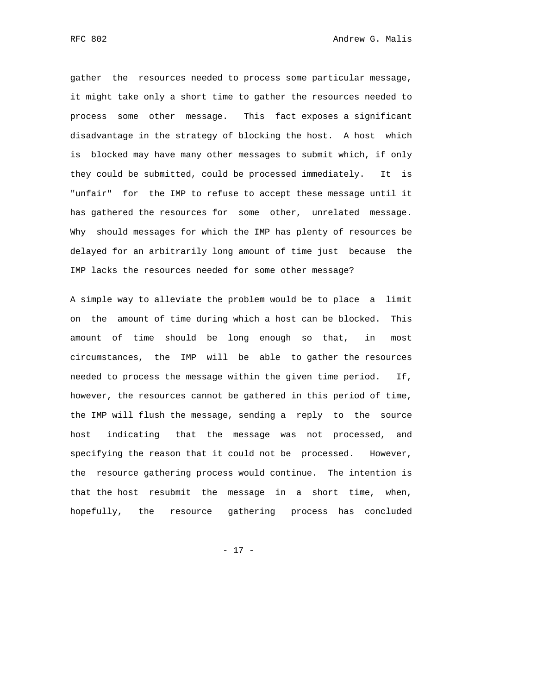gather the resources needed to process some particular message, it might take only a short time to gather the resources needed to process some other message. This fact exposes a significant disadvantage in the strategy of blocking the host. A host which is blocked may have many other messages to submit which, if only they could be submitted, could be processed immediately. It is "unfair" for the IMP to refuse to accept these message until it has gathered the resources for some other, unrelated message. Why should messages for which the IMP has plenty of resources be delayed for an arbitrarily long amount of time just because the IMP lacks the resources needed for some other message?

A simple way to alleviate the problem would be to place a limit on the amount of time during which a host can be blocked. This amount of time should be long enough so that, in most circumstances, the IMP will be able to gather the resources needed to process the message within the given time period. If, however, the resources cannot be gathered in this period of time, the IMP will flush the message, sending a reply to the source host indicating that the message was not processed, and specifying the reason that it could not be processed. However, the resource gathering process would continue. The intention is that the host resubmit the message in a short time, when, hopefully, the resource gathering process has concluded

- 17 -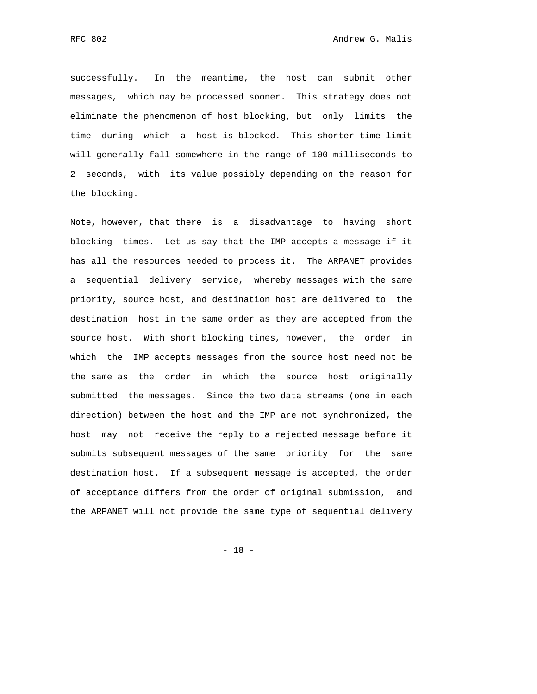successfully. In the meantime, the host can submit other messages, which may be processed sooner. This strategy does not eliminate the phenomenon of host blocking, but only limits the time during which a host is blocked. This shorter time limit will generally fall somewhere in the range of 100 milliseconds to 2 seconds, with its value possibly depending on the reason for the blocking.

Note, however, that there is a disadvantage to having short blocking times. Let us say that the IMP accepts a message if it has all the resources needed to process it. The ARPANET provides a sequential delivery service, whereby messages with the same priority, source host, and destination host are delivered to the destination host in the same order as they are accepted from the source host. With short blocking times, however, the order in which the IMP accepts messages from the source host need not be the same as the order in which the source host originally submitted the messages. Since the two data streams (one in each direction) between the host and the IMP are not synchronized, the host may not receive the reply to a rejected message before it submits subsequent messages of the same priority for the same destination host. If a subsequent message is accepted, the order of acceptance differs from the order of original submission, and the ARPANET will not provide the same type of sequential delivery

- 18 -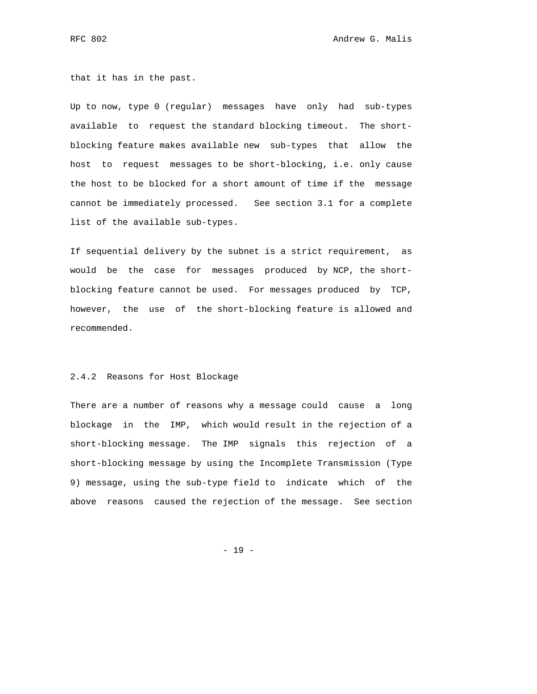that it has in the past.

Up to now, type 0 (regular) messages have only had sub-types available to request the standard blocking timeout. The shortblocking feature makes available new sub-types that allow the host to request messages to be short-blocking, i.e. only cause the host to be blocked for a short amount of time if the message cannot be immediately processed. See section 3.1 for a complete list of the available sub-types.

If sequential delivery by the subnet is a strict requirement, as would be the case for messages produced by NCP, the shortblocking feature cannot be used. For messages produced by TCP, however, the use of the short-blocking feature is allowed and recommended.

## 2.4.2 Reasons for Host Blockage

There are a number of reasons why a message could cause a long blockage in the IMP, which would result in the rejection of a short-blocking message. The IMP signals this rejection of a short-blocking message by using the Incomplete Transmission (Type 9) message, using the sub-type field to indicate which of the above reasons caused the rejection of the message. See section

- 19 -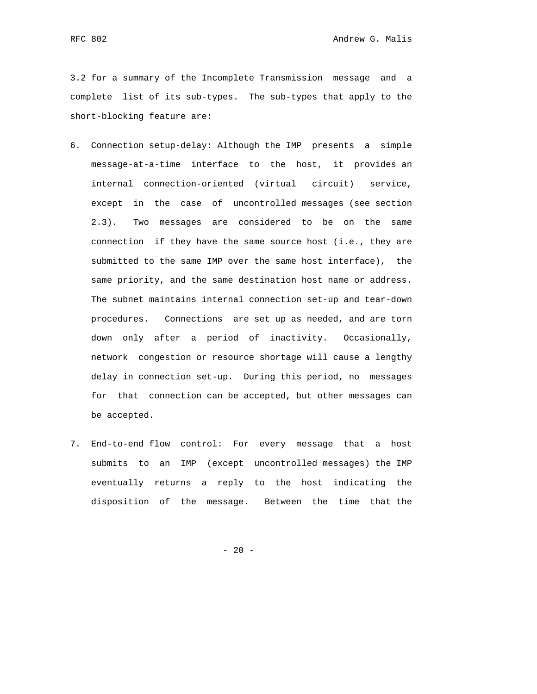3.2 for a summary of the Incomplete Transmission message and a complete list of its sub-types. The sub-types that apply to the short-blocking feature are:

- 6. Connection setup-delay: Although the IMP presents a simple message-at-a-time interface to the host, it provides an internal connection-oriented (virtual circuit) service, except in the case of uncontrolled messages (see section 2.3). Two messages are considered to be on the same connection if they have the same source host (i.e., they are submitted to the same IMP over the same host interface), the same priority, and the same destination host name or address. The subnet maintains internal connection set-up and tear-down procedures. Connections are set up as needed, and are torn down only after a period of inactivity. Occasionally, network congestion or resource shortage will cause a lengthy delay in connection set-up. During this period, no messages for that connection can be accepted, but other messages can be accepted.
- 7. End-to-end flow control: For every message that a host submits to an IMP (except uncontrolled messages) the IMP eventually returns a reply to the host indicating the disposition of the message. Between the time that the

 $- 20 -$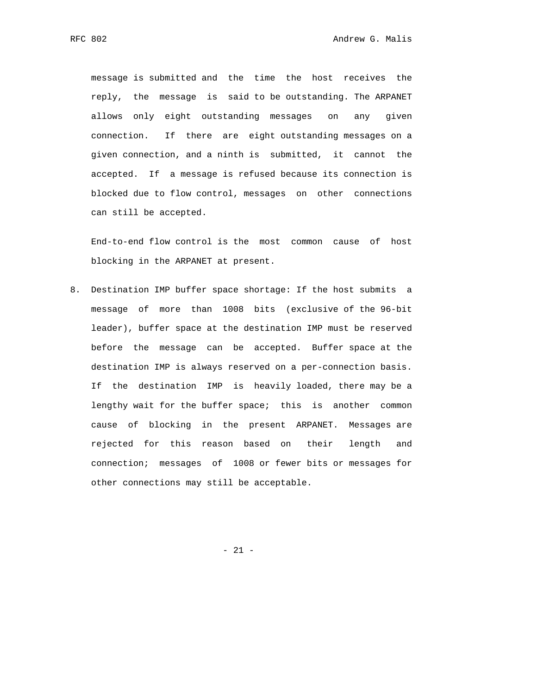message is submitted and the time the host receives the reply, the message is said to be outstanding. The ARPANET allows only eight outstanding messages on any given connection. If there are eight outstanding messages on a given connection, and a ninth is submitted, it cannot the accepted. If a message is refused because its connection is blocked due to flow control, messages on other connections can still be accepted.

 End-to-end flow control is the most common cause of host blocking in the ARPANET at present.

8. Destination IMP buffer space shortage: If the host submits a message of more than 1008 bits (exclusive of the 96-bit leader), buffer space at the destination IMP must be reserved before the message can be accepted. Buffer space at the destination IMP is always reserved on a per-connection basis. If the destination IMP is heavily loaded, there may be a lengthy wait for the buffer space; this is another common cause of blocking in the present ARPANET. Messages are rejected for this reason based on their length and connection; messages of 1008 or fewer bits or messages for other connections may still be acceptable.

- 21 -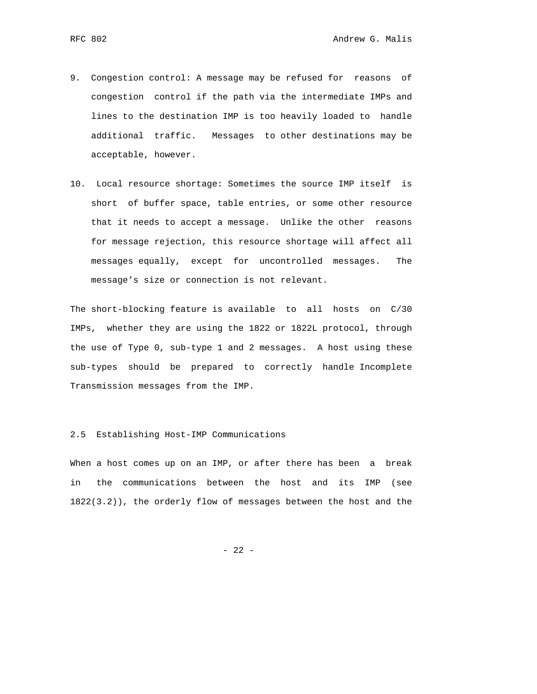- 9. Congestion control: A message may be refused for reasons of congestion control if the path via the intermediate IMPs and lines to the destination IMP is too heavily loaded to handle additional traffic. Messages to other destinations may be acceptable, however.
- 10. Local resource shortage: Sometimes the source IMP itself is short of buffer space, table entries, or some other resource that it needs to accept a message. Unlike the other reasons for message rejection, this resource shortage will affect all messages equally, except for uncontrolled messages. The message's size or connection is not relevant.

The short-blocking feature is available to all hosts on C/30 IMPs, whether they are using the 1822 or 1822L protocol, through the use of Type 0, sub-type 1 and 2 messages. A host using these sub-types should be prepared to correctly handle Incomplete Transmission messages from the IMP.

### 2.5 Establishing Host-IMP Communications

When a host comes up on an IMP, or after there has been a break in the communications between the host and its IMP (see 1822(3.2)), the orderly flow of messages between the host and the

- 22 -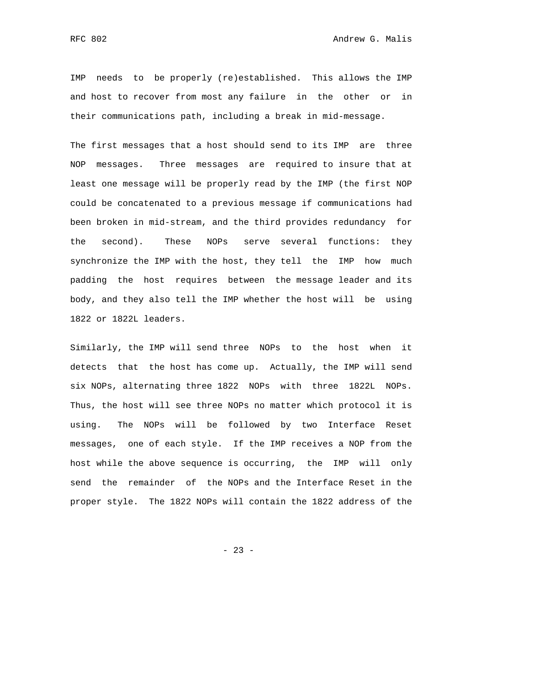IMP needs to be properly (re)established. This allows the IMP and host to recover from most any failure in the other or in their communications path, including a break in mid-message.

The first messages that a host should send to its IMP are three NOP messages. Three messages are required to insure that at least one message will be properly read by the IMP (the first NOP could be concatenated to a previous message if communications had been broken in mid-stream, and the third provides redundancy for the second). These NOPs serve several functions: they synchronize the IMP with the host, they tell the IMP how much padding the host requires between the message leader and its body, and they also tell the IMP whether the host will be using 1822 or 1822L leaders.

Similarly, the IMP will send three NOPs to the host when it detects that the host has come up. Actually, the IMP will send six NOPs, alternating three 1822 NOPs with three 1822L NOPs. Thus, the host will see three NOPs no matter which protocol it is using. The NOPs will be followed by two Interface Reset messages, one of each style. If the IMP receives a NOP from the host while the above sequence is occurring, the IMP will only send the remainder of the NOPs and the Interface Reset in the proper style. The 1822 NOPs will contain the 1822 address of the

- 23 -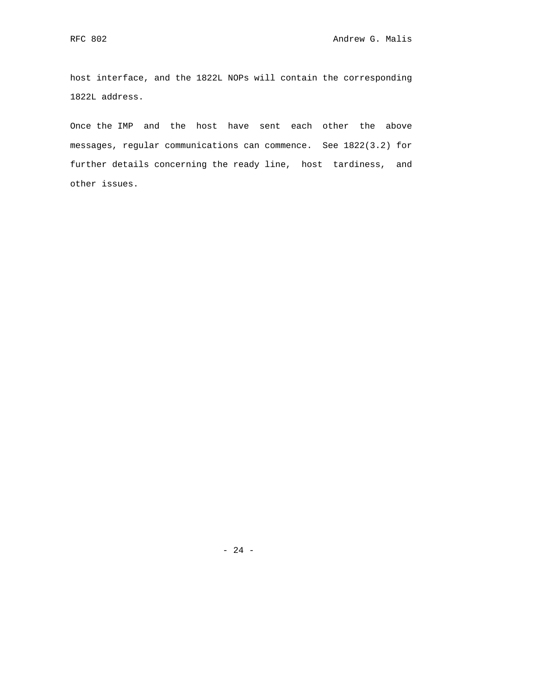host interface, and the 1822L NOPs will contain the corresponding 1822L address.

Once the IMP and the host have sent each other the above messages, regular communications can commence. See 1822(3.2) for further details concerning the ready line, host tardiness, and other issues.

- 24 -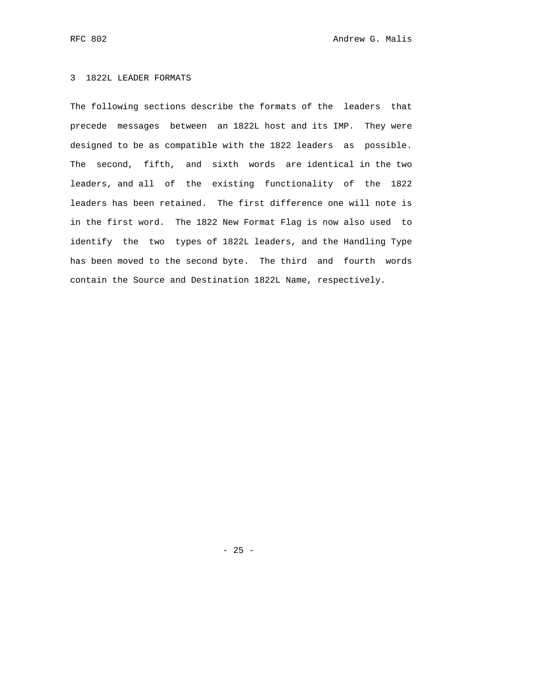## 3 1822L LEADER FORMATS

The following sections describe the formats of the leaders that precede messages between an 1822L host and its IMP. They were designed to be as compatible with the 1822 leaders as possible. The second, fifth, and sixth words are identical in the two leaders, and all of the existing functionality of the 1822 leaders has been retained. The first difference one will note is in the first word. The 1822 New Format Flag is now also used to identify the two types of 1822L leaders, and the Handling Type has been moved to the second byte. The third and fourth words contain the Source and Destination 1822L Name, respectively.

- 25 -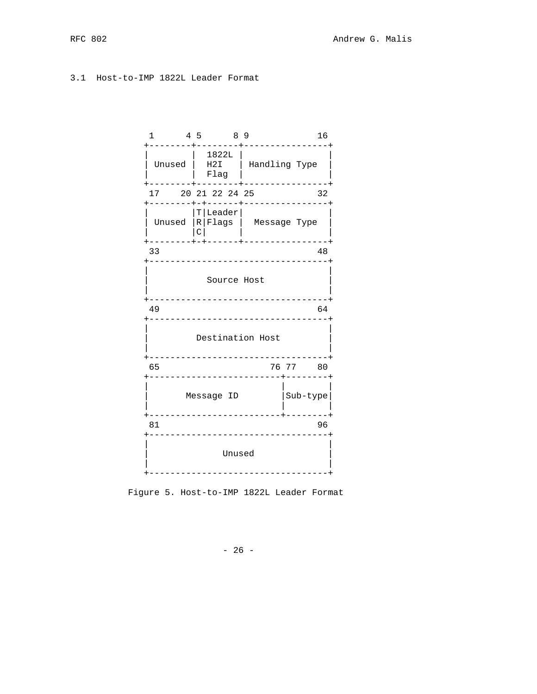# 3.1 Host-to-IMP 1822L Leader Format

| $\mathbf{1}$      |             |   | 4 5 8 9                       |                                                                                           |          | 16 |
|-------------------|-------------|---|-------------------------------|-------------------------------------------------------------------------------------------|----------|----|
| Unused   $H2I$    | $- - + - -$ |   | 1822L<br>$\vert$ Flag $\vert$ | Handling Type                                                                             |          |    |
| 17 20 21 22 24 25 |             |   |                               | +--------+-+------+------------------                                                     |          | 32 |
|                   |             | c | $ T $ Leader $ $              | Unused $\lvert \texttt{R} \rvert$ Flags $\lvert$ Message Type<br>------+----------------- |          |    |
| 33                |             |   |                               | ________________________                                                                  |          | 48 |
|                   |             |   | Source Host                   | _______________________________                                                           |          |    |
| 49                |             |   |                               | --------------------------------                                                          |          | 64 |
|                   |             |   |                               | Destination Host<br>_____________________                                                 |          |    |
| 65                |             |   |                               |                                                                                           | 76 77 80 |    |
|                   |             |   | Message ID                    |                                                                                           | Sub-type |    |
| 81                |             |   |                               | ______________________                                                                    |          | 96 |
|                   |             |   |                               | Unused<br>----------------                                                                |          |    |
|                   |             |   |                               |                                                                                           |          |    |

Figure 5. Host-to-IMP 1822L Leader Format

 $- 26 -$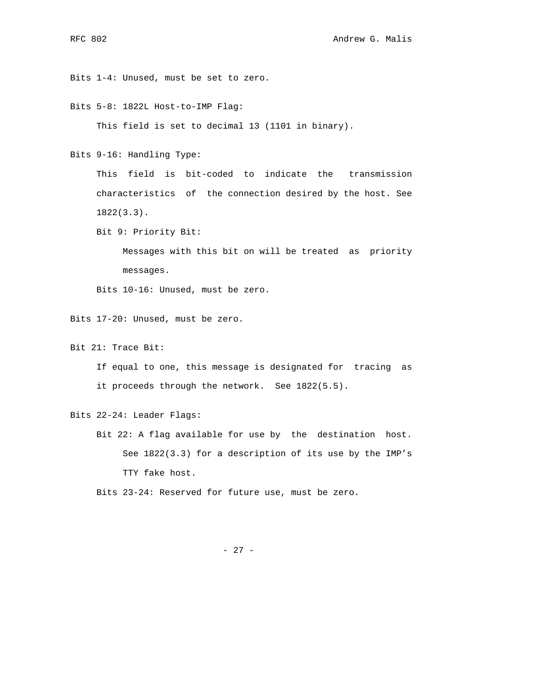Bits 1-4: Unused, must be set to zero.

Bits 5-8: 1822L Host-to-IMP Flag:

This field is set to decimal 13 (1101 in binary).

Bits 9-16: Handling Type:

 This field is bit-coded to indicate the transmission characteristics of the connection desired by the host. See 1822(3.3).

Bit 9: Priority Bit:

 Messages with this bit on will be treated as priority messages.

Bits 10-16: Unused, must be zero.

Bits 17-20: Unused, must be zero.

Bit 21: Trace Bit:

 If equal to one, this message is designated for tracing as it proceeds through the network. See 1822(5.5).

Bits 22-24: Leader Flags:

 Bit 22: A flag available for use by the destination host. See 1822(3.3) for a description of its use by the IMP's TTY fake host.

Bits 23-24: Reserved for future use, must be zero.

- 27 -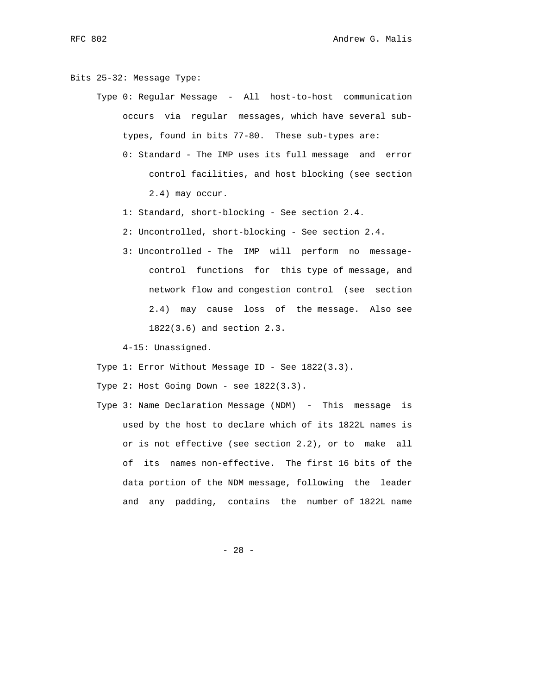Bits 25-32: Message Type:

- Type 0: Regular Message All host-to-host communication occurs via regular messages, which have several sub types, found in bits 77-80. These sub-types are:
	- 0: Standard The IMP uses its full message and error control facilities, and host blocking (see section 2.4) may occur.
	- 1: Standard, short-blocking See section 2.4.
	- 2: Uncontrolled, short-blocking See section 2.4.
	- 3: Uncontrolled The IMP will perform no message control functions for this type of message, and network flow and congestion control (see section 2.4) may cause loss of the message. Also see 1822(3.6) and section 2.3.

4-15: Unassigned.

Type 1: Error Without Message ID - See 1822(3.3).

Type 2: Host Going Down - see 1822(3.3).

 Type 3: Name Declaration Message (NDM) - This message is used by the host to declare which of its 1822L names is or is not effective (see section 2.2), or to make all of its names non-effective. The first 16 bits of the data portion of the NDM message, following the leader and any padding, contains the number of 1822L name

- 28 -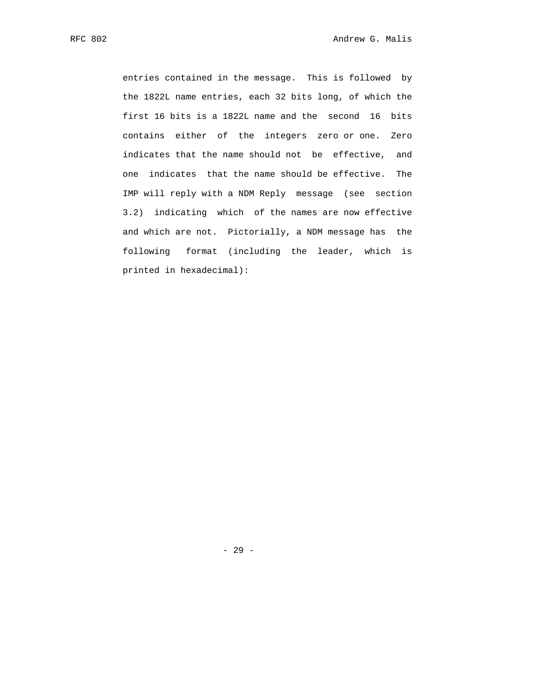entries contained in the message. This is followed by the 1822L name entries, each 32 bits long, of which the first 16 bits is a 1822L name and the second 16 bits contains either of the integers zero or one. Zero indicates that the name should not be effective, and one indicates that the name should be effective. The IMP will reply with a NDM Reply message (see section 3.2) indicating which of the names are now effective and which are not. Pictorially, a NDM message has the following format (including the leader, which is printed in hexadecimal):

- 29 -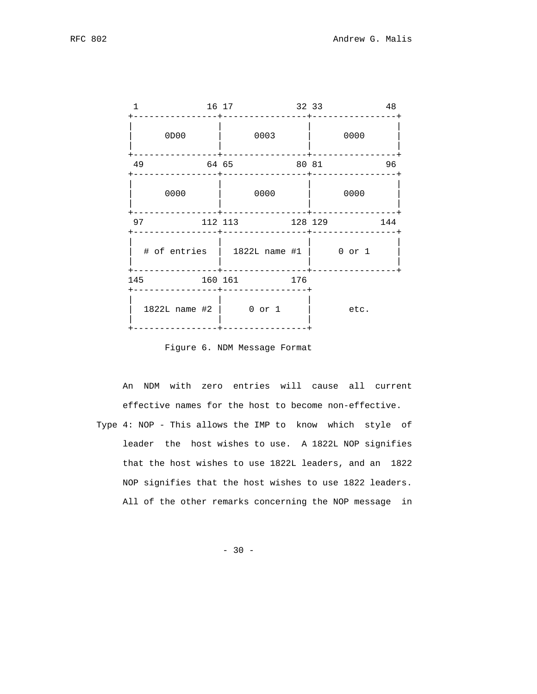

Figure 6. NDM Message Format

 An NDM with zero entries will cause all current effective names for the host to become non-effective. Type 4: NOP - This allows the IMP to know which style of leader the host wishes to use. A 1822L NOP signifies that the host wishes to use 1822L leaders, and an 1822 NOP signifies that the host wishes to use 1822 leaders. All of the other remarks concerning the NOP message in

- 30 -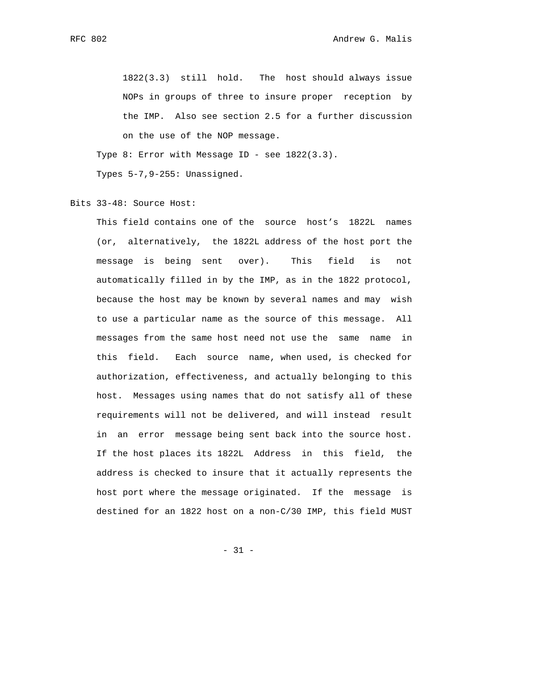1822(3.3) still hold. The host should always issue NOPs in groups of three to insure proper reception by the IMP. Also see section 2.5 for a further discussion on the use of the NOP message. Type 8: Error with Message ID - see 1822(3.3).

Types 5-7,9-255: Unassigned.

Bits 33-48: Source Host:

 This field contains one of the source host's 1822L names (or, alternatively, the 1822L address of the host port the message is being sent over). This field is not automatically filled in by the IMP, as in the 1822 protocol, because the host may be known by several names and may wish to use a particular name as the source of this message. All messages from the same host need not use the same name in this field. Each source name, when used, is checked for authorization, effectiveness, and actually belonging to this host. Messages using names that do not satisfy all of these requirements will not be delivered, and will instead result in an error message being sent back into the source host. If the host places its 1822L Address in this field, the address is checked to insure that it actually represents the host port where the message originated. If the message is destined for an 1822 host on a non-C/30 IMP, this field MUST

- 31 -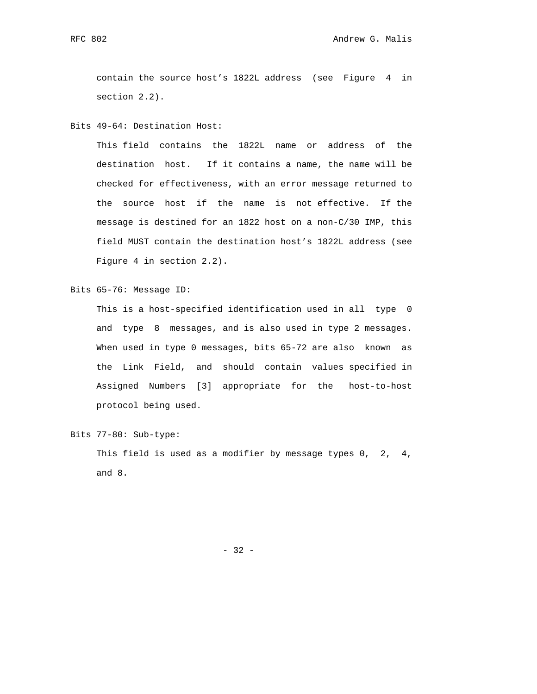contain the source host's 1822L address (see Figure 4 in section 2.2).

Bits 49-64: Destination Host:

 This field contains the 1822L name or address of the destination host. If it contains a name, the name will be checked for effectiveness, with an error message returned to the source host if the name is not effective. If the message is destined for an 1822 host on a non-C/30 IMP, this field MUST contain the destination host's 1822L address (see Figure 4 in section 2.2).

Bits 65-76: Message ID:

 This is a host-specified identification used in all type 0 and type 8 messages, and is also used in type 2 messages. When used in type 0 messages, bits 65-72 are also known as the Link Field, and should contain values specified in Assigned Numbers [3] appropriate for the host-to-host protocol being used.

Bits 77-80: Sub-type:

 This field is used as a modifier by message types 0, 2, 4, and 8.

- 32 -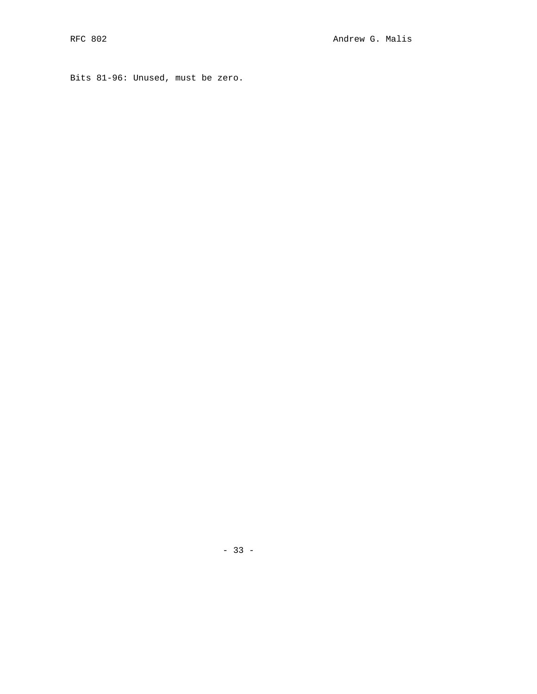```
Bits 81-96: Unused, must be zero.
```
- 33 -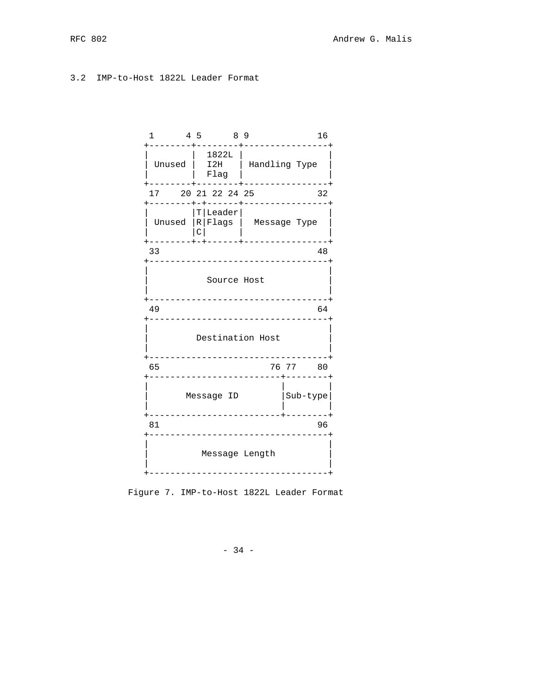# 3.2 IMP-to-Host 1822L Leader Format

| 1822L<br>Unused $\vert$ I2H $\vert$<br>Handling Type<br>$\vert$ Flag $\vert$<br>17 20 21 22 24 25<br>32<br>+--------+-+------+-----------------+<br>$ T $ Leader $ $<br>Unused $\lfloor R \rfloor$ Flags $\rfloor$ Message Type<br> C <br>------+----------------+<br>48<br>33<br>________________________<br>Source Host<br>-----------------------------<br>49<br>64<br>Destination Host<br>---------<br>76 77 80<br>65<br>-----+-------<br> Sub-type <br>Message ID<br>----------<br>81<br>96<br>_____________________<br>Message Length<br>---------- | $4\quad5$<br>1 | 89<br>$- - - - - +$ | 16 |
|-----------------------------------------------------------------------------------------------------------------------------------------------------------------------------------------------------------------------------------------------------------------------------------------------------------------------------------------------------------------------------------------------------------------------------------------------------------------------------------------------------------------------------------------------------------|----------------|---------------------|----|
|                                                                                                                                                                                                                                                                                                                                                                                                                                                                                                                                                           |                |                     |    |
|                                                                                                                                                                                                                                                                                                                                                                                                                                                                                                                                                           |                |                     |    |
|                                                                                                                                                                                                                                                                                                                                                                                                                                                                                                                                                           |                |                     |    |
|                                                                                                                                                                                                                                                                                                                                                                                                                                                                                                                                                           |                |                     |    |
|                                                                                                                                                                                                                                                                                                                                                                                                                                                                                                                                                           |                |                     |    |
|                                                                                                                                                                                                                                                                                                                                                                                                                                                                                                                                                           |                |                     |    |
|                                                                                                                                                                                                                                                                                                                                                                                                                                                                                                                                                           |                |                     |    |
|                                                                                                                                                                                                                                                                                                                                                                                                                                                                                                                                                           |                |                     |    |
|                                                                                                                                                                                                                                                                                                                                                                                                                                                                                                                                                           |                |                     |    |
|                                                                                                                                                                                                                                                                                                                                                                                                                                                                                                                                                           |                |                     |    |
|                                                                                                                                                                                                                                                                                                                                                                                                                                                                                                                                                           |                |                     |    |

Figure 7. IMP-to-Host 1822L Leader Format

- 34 -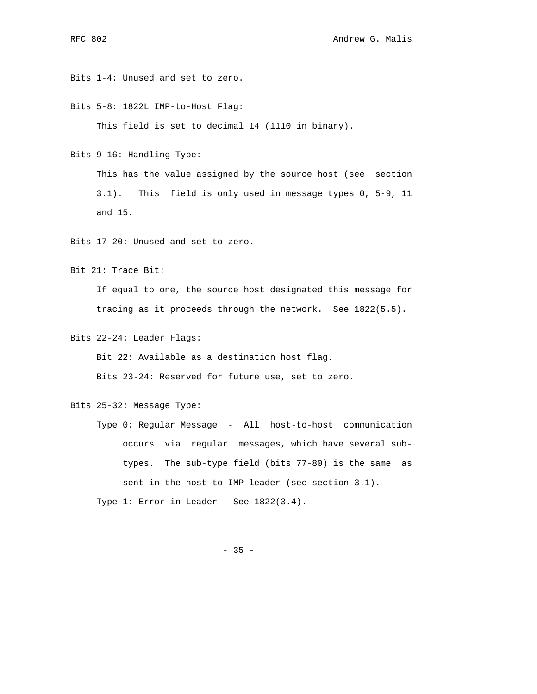Bits 1-4: Unused and set to zero.

Bits 5-8: 1822L IMP-to-Host Flag:

This field is set to decimal 14 (1110 in binary).

Bits 9-16: Handling Type:

 This has the value assigned by the source host (see section 3.1). This field is only used in message types 0, 5-9, 11 and 15.

Bits 17-20: Unused and set to zero.

Bit 21: Trace Bit:

 If equal to one, the source host designated this message for tracing as it proceeds through the network. See 1822(5.5).

Bits 22-24: Leader Flags:

Bit 22: Available as a destination host flag.

Bits 23-24: Reserved for future use, set to zero.

Bits 25-32: Message Type:

 Type 0: Regular Message - All host-to-host communication occurs via regular messages, which have several sub types. The sub-type field (bits 77-80) is the same as sent in the host-to-IMP leader (see section 3.1). Type 1: Error in Leader - See 1822(3.4).

- 35 -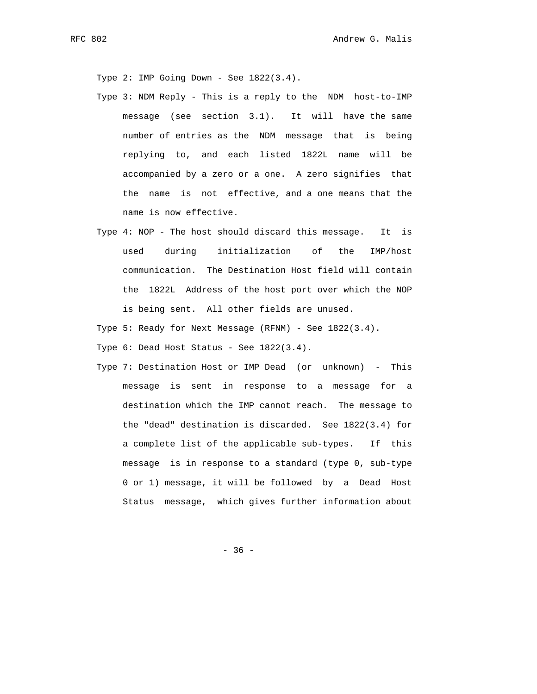Type  $2:$  IMP Going Down - See  $1822(3.4)$ .

- Type 3: NDM Reply This is a reply to the NDM host-to-IMP message (see section 3.1). It will have the same number of entries as the NDM message that is being replying to, and each listed 1822L name will be accompanied by a zero or a one. A zero signifies that the name is not effective, and a one means that the name is now effective.
- Type 4: NOP The host should discard this message. It is used during initialization of the IMP/host communication. The Destination Host field will contain the 1822L Address of the host port over which the NOP is being sent. All other fields are unused.
- Type 5: Ready for Next Message (RFNM) See 1822(3.4).

Type  $6:$  Dead Host Status - See  $1822(3.4)$ .

 Type 7: Destination Host or IMP Dead (or unknown) - This message is sent in response to a message for a destination which the IMP cannot reach. The message to the "dead" destination is discarded. See 1822(3.4) for a complete list of the applicable sub-types. If this message is in response to a standard (type 0, sub-type 0 or 1) message, it will be followed by a Dead Host Status message, which gives further information about

- 36 -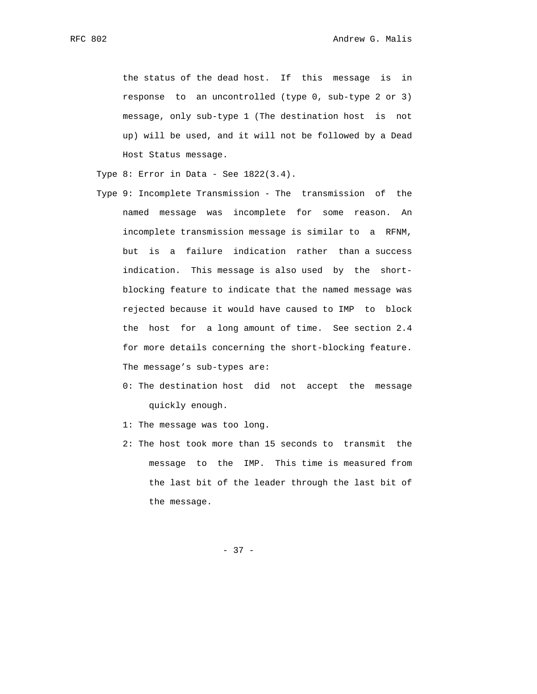the status of the dead host. If this message is in response to an uncontrolled (type 0, sub-type 2 or 3) message, only sub-type 1 (The destination host is not up) will be used, and it will not be followed by a Dead Host Status message.

Type  $8:$  Error in Data - See  $1822(3.4)$ .

- Type 9: Incomplete Transmission The transmission of the named message was incomplete for some reason. An incomplete transmission message is similar to a RFNM, but is a failure indication rather than a success indication. This message is also used by the short blocking feature to indicate that the named message was rejected because it would have caused to IMP to block the host for a long amount of time. See section 2.4 for more details concerning the short-blocking feature. The message's sub-types are:
	- 0: The destination host did not accept the message quickly enough.

1: The message was too long.

 2: The host took more than 15 seconds to transmit the message to the IMP. This time is measured from the last bit of the leader through the last bit of the message.

- 37 -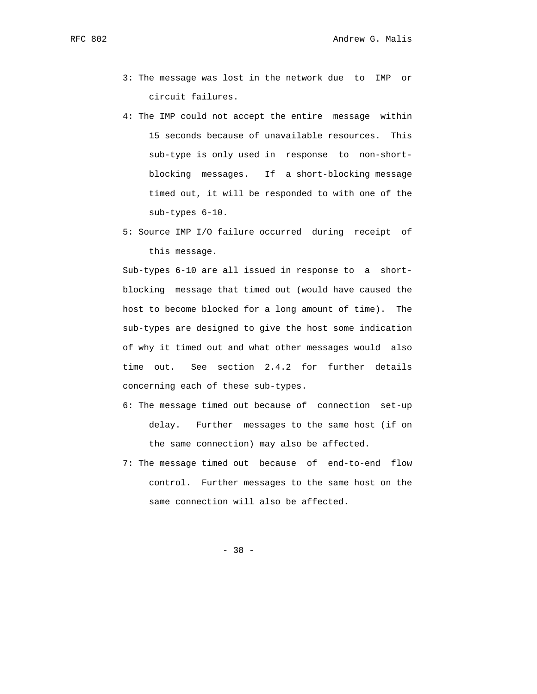- 3: The message was lost in the network due to IMP or circuit failures.
- 4: The IMP could not accept the entire message within 15 seconds because of unavailable resources. This sub-type is only used in response to non-short blocking messages. If a short-blocking message timed out, it will be responded to with one of the sub-types 6-10.
- 5: Source IMP I/O failure occurred during receipt of this message.

 Sub-types 6-10 are all issued in response to a short blocking message that timed out (would have caused the host to become blocked for a long amount of time). The sub-types are designed to give the host some indication of why it timed out and what other messages would also time out. See section 2.4.2 for further details concerning each of these sub-types.

- 6: The message timed out because of connection set-up delay. Further messages to the same host (if on the same connection) may also be affected.
- 7: The message timed out because of end-to-end flow control. Further messages to the same host on the same connection will also be affected.

- 38 -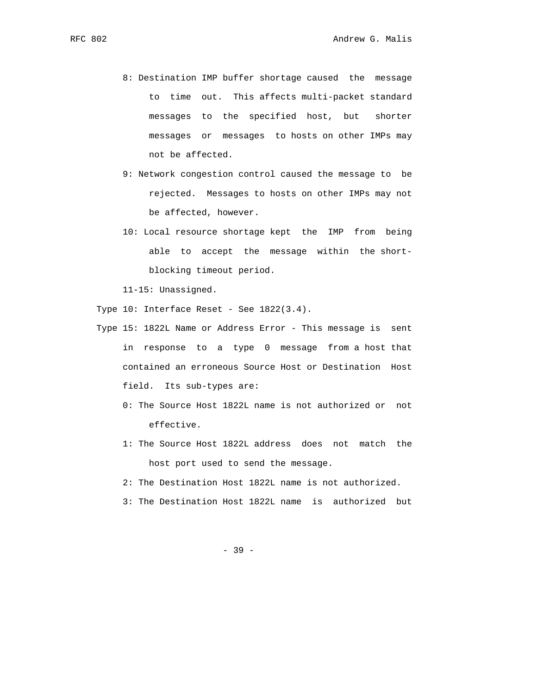- 8: Destination IMP buffer shortage caused the message to time out. This affects multi-packet standard messages to the specified host, but shorter messages or messages to hosts on other IMPs may not be affected.
- 9: Network congestion control caused the message to be rejected. Messages to hosts on other IMPs may not be affected, however.
- 10: Local resource shortage kept the IMP from being able to accept the message within the short blocking timeout period.

11-15: Unassigned.

Type 10: Interface Reset - See 1822(3.4).

- Type 15: 1822L Name or Address Error This message is sent in response to a type 0 message from a host that contained an erroneous Source Host or Destination Host field. Its sub-types are:
	- 0: The Source Host 1822L name is not authorized or not effective.
	- 1: The Source Host 1822L address does not match the host port used to send the message.
	- 2: The Destination Host 1822L name is not authorized.
	- 3: The Destination Host 1822L name is authorized but

- 39 -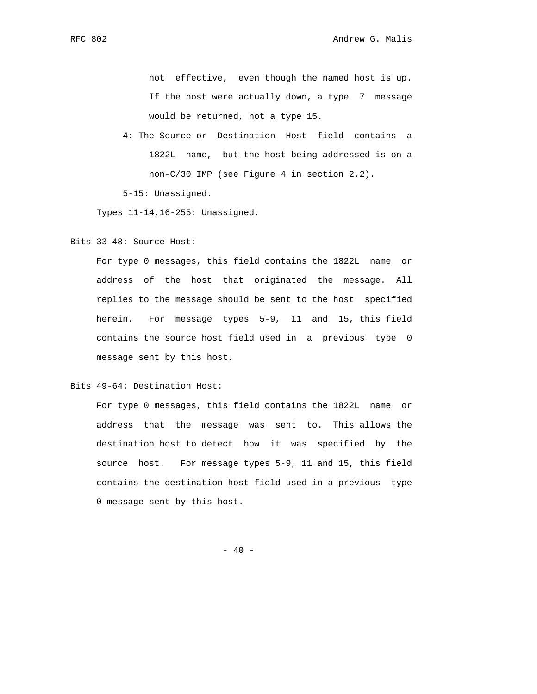not effective, even though the named host is up. If the host were actually down, a type 7 message would be returned, not a type 15.

 4: The Source or Destination Host field contains a 1822L name, but the host being addressed is on a non-C/30 IMP (see Figure 4 in section 2.2).

5-15: Unassigned.

Types 11-14,16-255: Unassigned.

## Bits 33-48: Source Host:

 For type 0 messages, this field contains the 1822L name or address of the host that originated the message. All replies to the message should be sent to the host specified herein. For message types 5-9, 11 and 15, this field contains the source host field used in a previous type 0 message sent by this host.

## Bits 49-64: Destination Host:

 For type 0 messages, this field contains the 1822L name or address that the message was sent to. This allows the destination host to detect how it was specified by the source host. For message types 5-9, 11 and 15, this field contains the destination host field used in a previous type 0 message sent by this host.

 $- 40 -$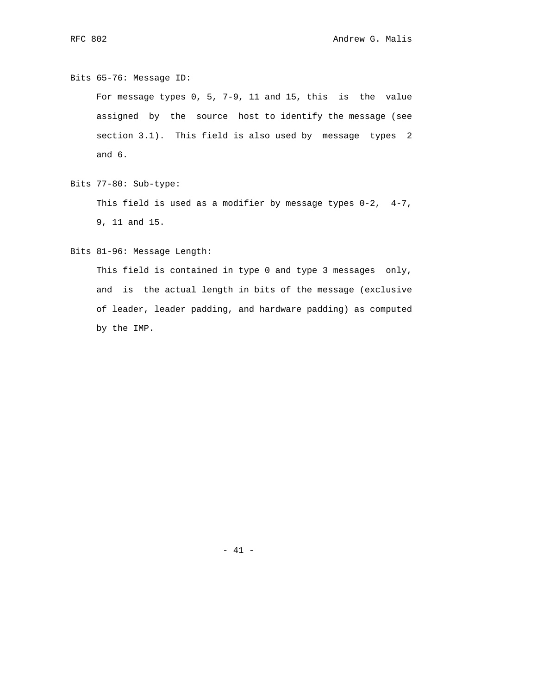## Bits 65-76: Message ID:

 For message types 0, 5, 7-9, 11 and 15, this is the value assigned by the source host to identify the message (see section 3.1). This field is also used by message types 2 and 6.

```
Bits 77-80: Sub-type:
```
 This field is used as a modifier by message types 0-2, 4-7, 9, 11 and 15.

## Bits 81-96: Message Length:

 This field is contained in type 0 and type 3 messages only, and is the actual length in bits of the message (exclusive of leader, leader padding, and hardware padding) as computed by the IMP.

- 41 -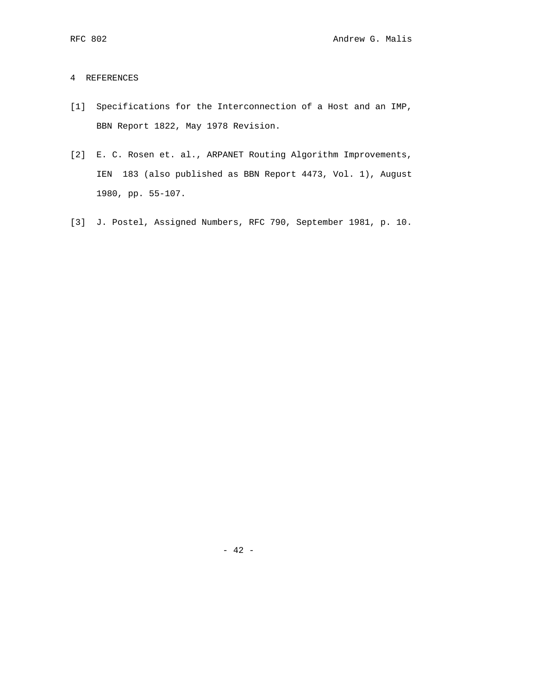## 4 REFERENCES

- [1] Specifications for the Interconnection of a Host and an IMP, BBN Report 1822, May 1978 Revision.
- [2] E. C. Rosen et. al., ARPANET Routing Algorithm Improvements, IEN 183 (also published as BBN Report 4473, Vol. 1), August 1980, pp. 55-107.
- [3] J. Postel, Assigned Numbers, RFC 790, September 1981, p. 10.

- 42 -